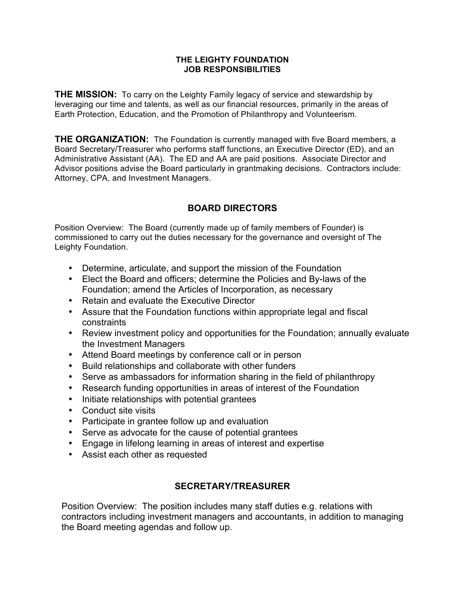#### **THE LEIGHTY FOUNDATION JOB RESPONSIBILITIES**

**THE MISSION:** To carry on the Leighty Family legacy of service and stewardship by leveraging our time and talents, as well as our financial resources, primarily in the areas of Earth Protection, Education, and the Promotion of Philanthropy and Volunteerism.

**THE ORGANIZATION:** The Foundation is currently managed with five Board members, a Board Secretary/Treasurer who performs staff functions, an Executive Director (ED), and an Administrative Assistant (AA). The ED and AA are paid positions. Associate Director and Advisor positions advise the Board particularly in grantmaking decisions. Contractors include: Attorney, CPA, and Investment Managers.

# **BOARD DIRECTORS**

Position Overview: The Board (currently made up of family members of Founder) is commissioned to carry out the duties necessary for the governance and oversight of The Leighty Foundation.

- Determine, articulate, and support the mission of the Foundation
- Elect the Board and officers; determine the Policies and By-laws of the Foundation; amend the Articles of Incorporation, as necessary
- Retain and evaluate the Executive Director
- Assure that the Foundation functions within appropriate legal and fiscal constraints
- Review investment policy and opportunities for the Foundation; annually evaluate the Investment Managers
- Attend Board meetings by conference call or in person
- Build relationships and collaborate with other funders
- Serve as ambassadors for information sharing in the field of philanthropy
- Research funding opportunities in areas of interest of the Foundation
- Initiate relationships with potential grantees
- Conduct site visits
- Participate in grantee follow up and evaluation
- Serve as advocate for the cause of potential grantees
- Engage in lifelong learning in areas of interest and expertise
- Assist each other as requested

### **SECRETARY/TREASURER**

Position Overview: The position includes many staff duties e.g. relations with contractors including investment managers and accountants, in addition to managing the Board meeting agendas and follow up.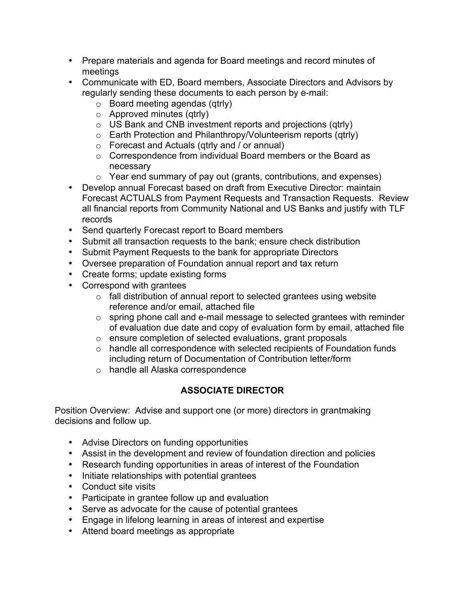- Prepare materials and agenda for Board meetings and record minutes of meetings
- Communicate with ED, Board members, Associate Directors and Advisors by regularly sending these documents to each person by e-mail:
	- $\circ$  Board meeting agendas (qtrly)
	- $\circ$  Approved minutes (qtrly)
	- o US Bank and CNB investment reports and projections (qtrly)
	- o Earth Protection and Philanthropy/Volunteerism reports (qtrly)
	- o Forecast and Actuals (qtrly and / or annual)
	- o Correspondence from individual Board members or the Board as necessary
	- o Year end summary of pay out (grants, contributions, and expenses)
- Develop annual Forecast based on draft from Executive Director: maintain Forecast ACTUALS from Payment Requests and Transaction Requests. Review all financial reports from Community National and US Banks and justify with TLF records
- Send quarterly Forecast report to Board members
- Submit all transaction requests to the bank; ensure check distribution
- Submit Payment Requests to the bank for appropriate Directors
- Oversee preparation of Foundation annual report and tax return
- Create forms; update existing forms
- Correspond with grantees
	- $\circ$  fall distribution of annual report to selected grantees using website reference and/or email, attached file
	- o spring phone call and e-mail message to selected grantees with reminder of evaluation due date and copy of evaluation form by email, attached file
	- o ensure completion of selected evaluations, grant proposals
	- o handle all correspondence with selected recipients of Foundation funds including return of Documentation of Contribution letter/form
	- o handle all Alaska correspondence

# **ASSOCIATE DIRECTOR**

Position Overview: Advise and support one (or more) directors in grantmaking decisions and follow up.

- Advise Directors on funding opportunities
- Assist in the development and review of foundation direction and policies
- Research funding opportunities in areas of interest of the Foundation
- Initiate relationships with potential grantees
- Conduct site visits
- Participate in grantee follow up and evaluation
- Serve as advocate for the cause of potential grantees
- Engage in lifelong learning in areas of interest and expertise
- Attend board meetings as appropriate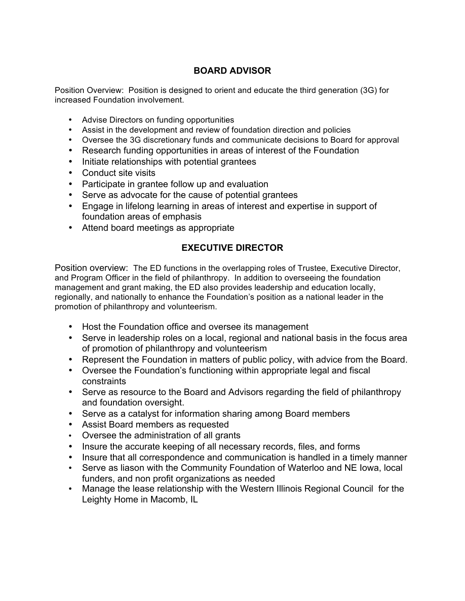## **BOARD ADVISOR**

Position Overview: Position is designed to orient and educate the third generation (3G) for increased Foundation involvement.

- Advise Directors on funding opportunities
- Assist in the development and review of foundation direction and policies
- Oversee the 3G discretionary funds and communicate decisions to Board for approval
- Research funding opportunities in areas of interest of the Foundation
- Initiate relationships with potential grantees
- Conduct site visits
- Participate in grantee follow up and evaluation
- Serve as advocate for the cause of potential grantees
- Engage in lifelong learning in areas of interest and expertise in support of foundation areas of emphasis
- Attend board meetings as appropriate

### **EXECUTIVE DIRECTOR**

Position overview: The ED functions in the overlapping roles of Trustee, Executive Director, and Program Officer in the field of philanthropy. In addition to overseeing the foundation management and grant making, the ED also provides leadership and education locally, regionally, and nationally to enhance the Foundation's position as a national leader in the promotion of philanthropy and volunteerism.

- Host the Foundation office and oversee its management
- Serve in leadership roles on a local, regional and national basis in the focus area of promotion of philanthropy and volunteerism
- Represent the Foundation in matters of public policy, with advice from the Board.
- Oversee the Foundation's functioning within appropriate legal and fiscal constraints
- Serve as resource to the Board and Advisors regarding the field of philanthropy and foundation oversight.
- Serve as a catalyst for information sharing among Board members
- Assist Board members as requested
- Oversee the administration of all grants
- Insure the accurate keeping of all necessary records, files, and forms
- Insure that all correspondence and communication is handled in a timely manner
- Serve as liason with the Community Foundation of Waterloo and NE Iowa, local funders, and non profit organizations as needed
- Manage the lease relationship with the Western Illinois Regional Council for the Leighty Home in Macomb, IL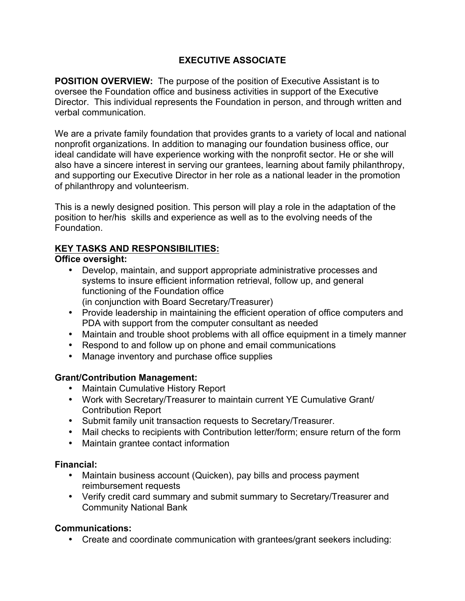# **EXECUTIVE ASSOCIATE**

**POSITION OVERVIEW:** The purpose of the position of Executive Assistant is to oversee the Foundation office and business activities in support of the Executive Director. This individual represents the Foundation in person, and through written and verbal communication.

We are a private family foundation that provides grants to a variety of local and national nonprofit organizations. In addition to managing our foundation business office, our ideal candidate will have experience working with the nonprofit sector. He or she will also have a sincere interest in serving our grantees, learning about family philanthropy, and supporting our Executive Director in her role as a national leader in the promotion of philanthropy and volunteerism.

This is a newly designed position. This person will play a role in the adaptation of the position to her/his skills and experience as well as to the evolving needs of the Foundation.

### **KEY TASKS AND RESPONSIBILITIES:**

### **Office oversight:**

- Develop, maintain, and support appropriate administrative processes and systems to insure efficient information retrieval, follow up, and general functioning of the Foundation office (in conjunction with Board Secretary/Treasurer)
- Provide leadership in maintaining the efficient operation of office computers and PDA with support from the computer consultant as needed
- Maintain and trouble shoot problems with all office equipment in a timely manner
- Respond to and follow up on phone and email communications
- Manage inventory and purchase office supplies

### **Grant/Contribution Management:**

- Maintain Cumulative History Report
- Work with Secretary/Treasurer to maintain current YE Cumulative Grant/ Contribution Report
- Submit family unit transaction requests to Secretary/Treasurer.
- Mail checks to recipients with Contribution letter/form; ensure return of the form
- Maintain grantee contact information

### **Financial:**

- Maintain business account (Quicken), pay bills and process payment reimbursement requests
- Verify credit card summary and submit summary to Secretary/Treasurer and Community National Bank

### **Communications:**

• Create and coordinate communication with grantees/grant seekers including: